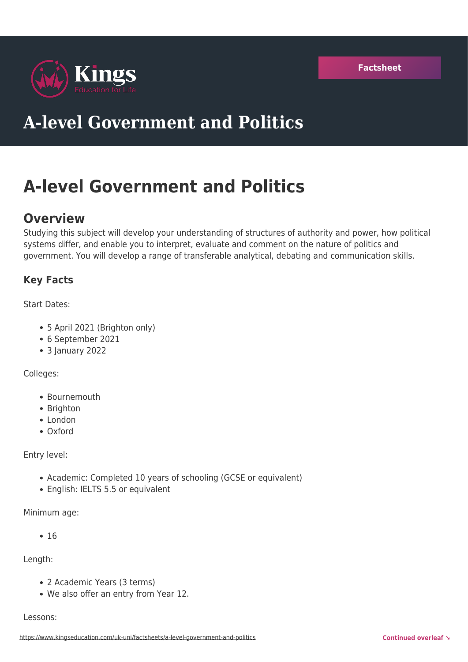

# **A-level Government and Politics**

# **A-level Government and Politics**

# **Overview**

Studying this subject will develop your understanding of structures of authority and power, how political systems differ, and enable you to interpret, evaluate and comment on the nature of politics and government. You will develop a range of transferable analytical, debating and communication skills.

# **Key Facts**

Start Dates:

- 5 April 2021 (Brighton only)
- 6 September 2021
- 3 January 2022

Colleges:

- Bournemouth
- Brighton
- London
- Oxford

Entry level:

- Academic: Completed 10 years of schooling (GCSE or equivalent)
- English: IELTS 5.5 or equivalent

Minimum age:

 $• 16$ 

Length:

- 2 Academic Years (3 terms)
- We also offer an entry from Year 12.

#### Lessons: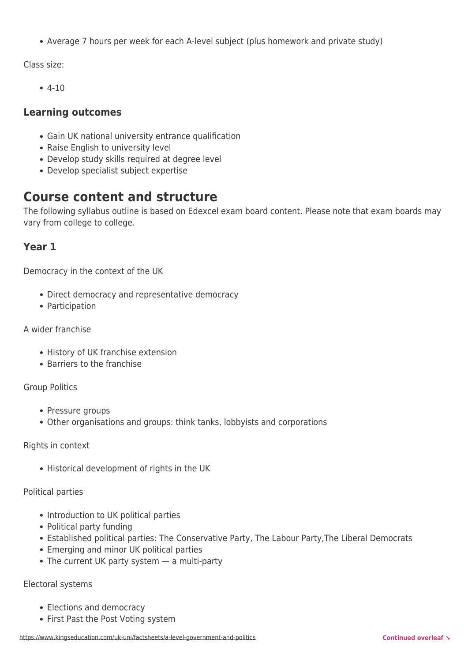Average 7 hours per week for each A-level subject (plus homework and private study)

Class size:

 $-4-10$ 

# **Learning outcomes**

- Gain UK national university entrance qualification
- Raise English to university level
- Develop study skills required at degree level
- Develop specialist subject expertise

# **Course content and structure**

The following syllabus outline is based on Edexcel exam board content. Please note that exam boards may vary from college to college.

# **Year 1**

Democracy in the context of the UK

- Direct democracy and representative democracy
- Participation

#### A wider franchise

- History of UK franchise extension
- Barriers to the franchise

#### Group Politics

- Pressure groups
- Other organisations and groups: think tanks, lobbyists and corporations

#### Rights in context

• Historical development of rights in the UK

Political parties

- Introduction to UK political parties
- Political party funding
- Established political parties: The Conservative Party, The Labour Party,The Liberal Democrats
- Emerging and minor UK political parties
- The current UK party system a multi-party

#### Electoral systems

- Elections and democracy
- First Past the Post Voting system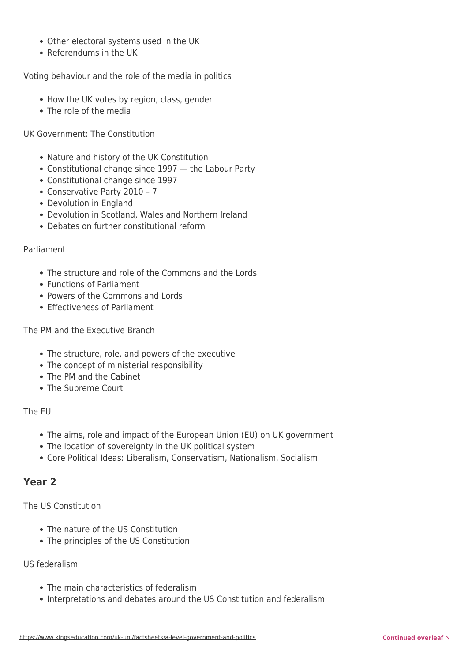- Other electoral systems used in the UK
- Referendums in the UK

Voting behaviour and the role of the media in politics

- How the UK votes by region, class, gender
- The role of the media

UK Government: The Constitution

- Nature and history of the UK Constitution
- Constitutional change since 1997 the Labour Party
- Constitutional change since 1997
- Conservative Party 2010 7
- Devolution in England
- Devolution in Scotland, Wales and Northern Ireland
- Debates on further constitutional reform

#### Parliament

- The structure and role of the Commons and the Lords
- Functions of Parliament
- Powers of the Commons and Lords
- **Effectiveness of Parliament**

The PM and the Executive Branch

- The structure, role, and powers of the executive
- The concept of ministerial responsibility
- The PM and the Cabinet
- The Supreme Court

#### The EU

- The aims, role and impact of the European Union (EU) on UK government
- The location of sovereignty in the UK political system
- Core Political Ideas: Liberalism, Conservatism, Nationalism, Socialism

# **Year 2**

The US Constitution

- The nature of the US Constitution
- The principles of the US Constitution

#### US federalism

- The main characteristics of federalism
- Interpretations and debates around the US Constitution and federalism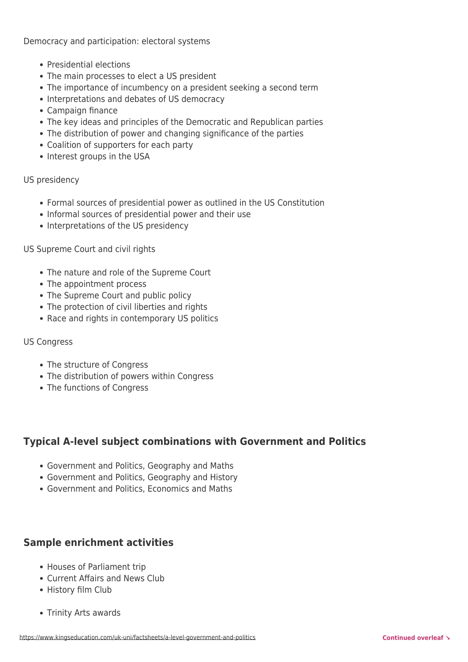Democracy and participation: electoral systems

- Presidential elections
- The main processes to elect a US president
- The importance of incumbency on a president seeking a second term
- Interpretations and debates of US democracy
- Campaign finance
- The key ideas and principles of the Democratic and Republican parties
- The distribution of power and changing significance of the parties
- Coalition of supporters for each party
- Interest groups in the USA

US presidency

- Formal sources of presidential power as outlined in the US Constitution
- Informal sources of presidential power and their use
- Interpretations of the US presidency

US Supreme Court and civil rights

- The nature and role of the Supreme Court
- The appointment process
- The Supreme Court and public policy
- The protection of civil liberties and rights
- Race and rights in contemporary US politics

#### US Congress

- The structure of Congress
- The distribution of powers within Congress
- The functions of Congress

# **Typical A-level subject combinations with Government and Politics**

- Government and Politics, Geography and Maths
- Government and Politics, Geography and History
- Government and Politics, Economics and Maths

# **Sample enrichment activities**

- Houses of Parliament trip
- Current Affairs and News Club
- History film Club
- Trinity Arts awards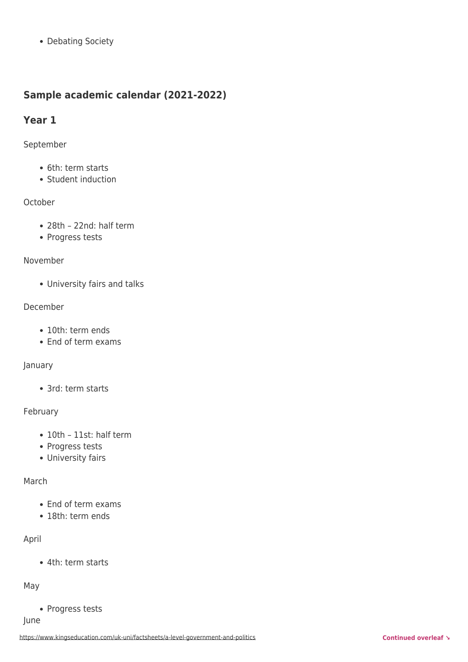• Debating Society

# **Sample academic calendar (2021-2022)**

# **Year 1**

#### September

- 6th: term starts
- Student induction

# **October**

- 28th 22nd: half term
- Progress tests

#### November

University fairs and talks

#### December

- 10th: term ends
- End of term exams

# January

• 3rd: term starts

# February

- 10th 11st: half term
- Progress tests
- University fairs

# March

- End of term exams
- 18th: term ends

# April

4th: term starts

# May

• Progress tests

June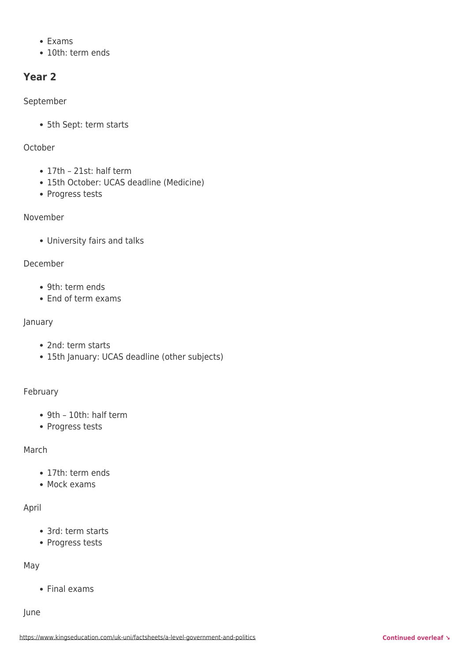- $\bullet$  Exams
- 10th: term ends

# **Year 2**

#### September

5th Sept: term starts

#### October

- 17th 21st: half term
- 15th October: UCAS deadline (Medicine)
- Progress tests

# November

University fairs and talks

#### December

- 9th: term ends
- End of term exams

#### January

- 2nd: term starts
- 15th January: UCAS deadline (other subjects)

#### February

- 9th 10th: half term
- Progress tests

# March

- 17th: term ends
- Mock exams

# April

- 3rd: term starts
- Progress tests

# May

• Final exams

#### June